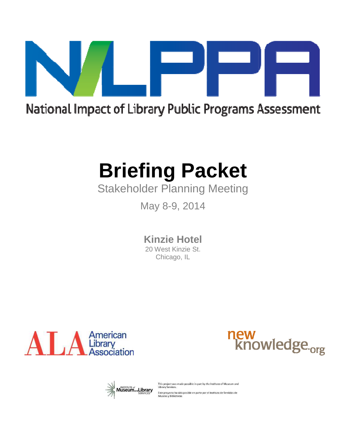

## National Impact of Library Public Programs Assessment

# **Briefing Packet**

## Stakeholder Planning Meeting Planning Meeting

May 8-9, 2014

**Kinzie Hotel**

20 West Kinzie St. Chicago, IL







This project was made possible in part by the Institute of Museum and **Library Services**. Este proyecto ha sido posible en parte por el Instituto de Servicios de<br>Museos y Bibliotecas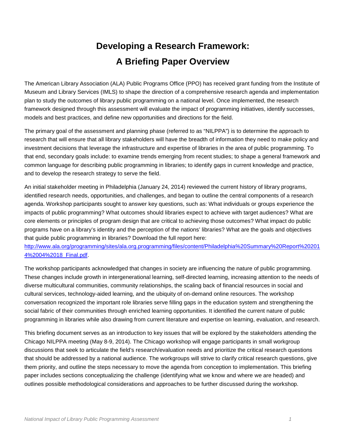## **Developing a Research Framework: A Briefing Paper Overview**

The American Library Association (ALA) Public Programs Office (PPO) has received grant funding from the Institute of Museum and Library Services (IMLS) to shape the direction of a comprehensive research agenda and implementation plan to study the outcomes of library public programming on a national level. Once implemented, the research framework designed through this assessment will evaluate the impact of programming initiatives, identify successes, models and best practices, and define new opportunities and directions for the field.

The primary goal of the assessment and planning phase (referred to as "NILPPA") is to determine the approach to research that will ensure that all library stakeholders will have the breadth of information they need to make policy and investment decisions that leverage the infrastructure and expertise of libraries in the area of public programming. To that end, secondary goals include: to examine trends emerging from recent studies; to shape a general framework and common language for describing public programming in libraries; to identify gaps in current knowledge and practice, and to develop the research strategy to serve the field.

An initial stakeholder meeting in Philadelphia (January 24, 2014) reviewed the current history of library programs, identified research needs, opportunities, and challenges, and began to outline the central components of a research agenda. Workshop participants sought to answer key questions, such as: What individuals or groups experience the impacts of public programming? What outcomes should libraries expect to achieve with target audiences? What are core elements or principles of program design that are critical to achieving those outcomes? What impact do public programs have on a library's identity and the perception of the nations' libraries? What are the goals and objectives that guide public programming in libraries? Download the full report here:

http://www.ala.org/programming/sites/ala.org.programming/files/content/Philadelphia%20Summary%20Report%20201 4%2004%2018\_Final.pdf.

The workshop participants acknowledged that changes in society are influencing the nature of public programming. These changes include growth in intergenerational learning, self-directed learning, increasing attention to the needs of diverse multicultural communities, community relationships, the scaling back of financial resources in social and cultural services, technology-aided learning, and the ubiquity of on-demand online resources. The workshop conversation recognized the important role libraries serve filling gaps in the education system and strengthening the social fabric of their communities through enriched learning opportunities. It identified the current nature of public programming in libraries while also drawing from current literature and expertise on learning, evaluation, and research.

This briefing document serves as an introduction to key issues that will be explored by the stakeholders attending the Chicago NILPPA meeting (May 8-9, 2014). The Chicago workshop will engage participants in small workgroup discussions that seek to articulate the field's research/evaluation needs and prioritize the critical research questions that should be addressed by a national audience. The workgroups will strive to clarify critical research questions, give them priority, and outline the steps necessary to move the agenda from conception to implementation. This briefing paper includes sections conceptualizing the challenge (identifying what we know and where we are headed) and outlines possible methodological considerations and approaches to be further discussed during the workshop.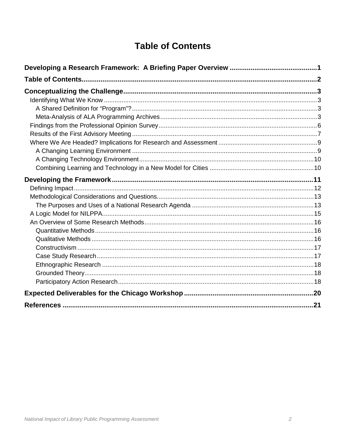## **Table of Contents**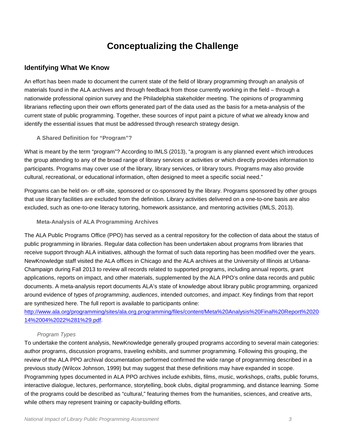## **Conceptualizing the Challenge**

#### **Identifying What We Know**

An effort has been made to document the current state of the field of library programming through an analysis of materials found in the ALA archives and through feedback from those currently working in the field – through a nationwide professional opinion survey and the Philadelphia stakeholder meeting. The opinions of programming librarians reflecting upon their own efforts generated part of the data used as the basis for a meta-analysis of the current state of public programming. Together, these sources of input paint a picture of what we already know and identify the essential issues that must be addressed through research strategy design.

#### **A Shared Definition for "Program"?**

What is meant by the term "program"? According to IMLS (2013), "a program is any planned event which introduces the group attending to any of the broad range of library services or activities or which directly provides information to participants. Programs may cover use of the library, library services, or library tours. Programs may also provide cultural, recreational, or educational information, often designed to meet a specific social need."

Programs can be held on- or off-site, sponsored or co-sponsored by the library. Programs sponsored by other groups that use library facilities are excluded from the definition. Library activities delivered on a one-to-one basis are also excluded, such as one-to-one literacy tutoring, homework assistance, and mentoring activities (IMLS, 2013).

**Meta-Analysis of ALA Programming Archives** 

The ALA Public Programs Office (PPO) has served as a central repository for the collection of data about the status of public programming in libraries. Regular data collection has been undertaken about programs from libraries that receive support through ALA initiatives, although the format of such data reporting has been modified over the years. NewKnowledge staff visited the ALA offices in Chicago and the ALA archives at the University of Illinois at Urbana-Champaign during Fall 2013 to review all records related to supported programs, including annual reports, grant applications, reports on impact, and other materials, supplemented by the ALA PPO's online data records and public documents. A meta-analysis report documents ALA's state of knowledge about library public programming, organized around evidence of types of programming, audiences, intended outcomes, and impact. Key findings from that report are synthesized here. The full report is available to participants online:

http://www.ala.org/programming/sites/ala.org.programming/files/content/Meta%20Analysis%20Final%20Report%2020 14%2004%2022%281%29.pdf.

#### Program Types

To undertake the content analysis, NewKnowledge generally grouped programs according to several main categories: author programs, discussion programs, traveling exhibits, and summer programming. Following this grouping, the review of the ALA PPO archival documentation performed confirmed the wide range of programming described in a previous study (Wilcox Johnson, 1999) but may suggest that these definitions may have expanded in scope. Programming types documented in ALA PPO archives include exhibits, films, music, workshops, crafts, public forums, interactive dialogue, lectures, performance, storytelling, book clubs, digital programming, and distance learning. Some of the programs could be described as "cultural," featuring themes from the humanities, sciences, and creative arts, while others may represent training or capacity-building efforts.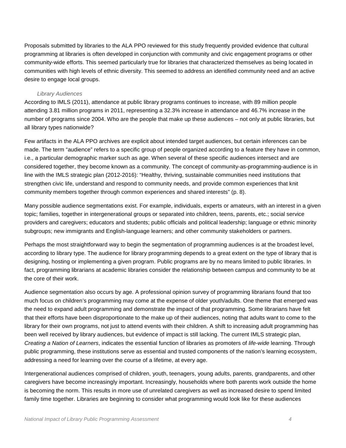Proposals submitted by libraries to the ALA PPO reviewed for this study frequently provided evidence that cultural programming at libraries is often developed in conjunction with community and civic engagement programs or other community-wide efforts. This seemed particularly true for libraries that characterized themselves as being located in communities with high levels of ethnic diversity. This seemed to address an identified community need and an active desire to engage local groups.

#### Library Audiences

According to IMLS (2011), attendance at public library programs continues to increase, with 89 million people attending 3.81 million programs in 2011, representing a 32.3% increase in attendance and 46.7% increase in the number of programs since 2004. Who are the people that make up these audiences – not only at public libraries, but all library types nationwide?

Few artifacts in the ALA PPO archives are explicit about intended target audiences, but certain inferences can be made. The term "audience" refers to a specific group of people organized according to a feature they have in common, i.e., a particular demographic marker such as age. When several of these specific audiences intersect and are considered together, they become known as a community. The concept of community-as-programming-audience is in line with the IMLS strategic plan (2012-2016): "Healthy, thriving, sustainable communities need institutions that strengthen civic life, understand and respond to community needs, and provide common experiences that knit community members together through common experiences and shared interests" (p. 8).

Many possible audience segmentations exist. For example, individuals, experts or amateurs, with an interest in a given topic; families, together in intergenerational groups or separated into children, teens, parents, etc.; social service providers and caregivers; educators and students; public officials and political leadership; language or ethnic minority subgroups; new immigrants and English-language learners; and other community stakeholders or partners.

Perhaps the most straightforward way to begin the segmentation of programming audiences is at the broadest level, according to library type. The audience for library programming depends to a great extent on the type of library that is designing, hosting or implementing a given program. Public programs are by no means limited to public libraries. In fact, programming librarians at academic libraries consider the relationship between campus and community to be at the core of their work.

Audience segmentation also occurs by age. A professional opinion survey of programming librarians found that too much focus on children's programming may come at the expense of older youth/adults. One theme that emerged was the need to expand adult programming and demonstrate the impact of that programming. Some librarians have felt that their efforts have been disproportionate to the make up of their audiences, noting that adults want to come to the library for their own programs, not just to attend events with their children. A shift to increasing adult programming has been well received by library audiences, but evidence of impact is still lacking. The current IMLS strategic plan, Creating a Nation of Learners, indicates the essential function of libraries as promoters of life-wide learning. Through public programming, these institutions serve as essential and trusted components of the nation's learning ecosystem, addressing a need for learning over the course of a lifetime, at every age.

Intergenerational audiences comprised of children, youth, teenagers, young adults, parents, grandparents, and other caregivers have become increasingly important. Increasingly, households where both parents work outside the home is becoming the norm. This results in more use of unrelated caregivers as well as increased desire to spend limited family time together. Libraries are beginning to consider what programming would look like for these audiences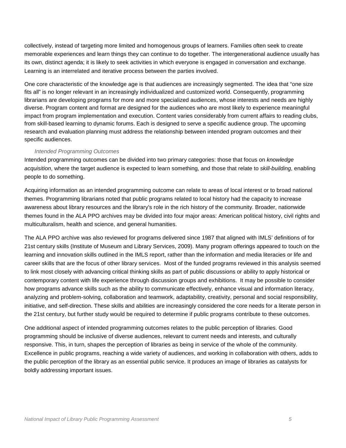collectively, instead of targeting more limited and homogenous groups of learners. Families often seek to create memorable experiences and learn things they can continue to do together. The intergenerational audience usually has its own, distinct agenda; it is likely to seek activities in which everyone is engaged in conversation and exchange. Learning is an interrelated and iterative process between the parties involved.

One core characteristic of the knowledge age is that audiences are increasingly segmented. The idea that "one size fits all" is no longer relevant in an increasingly individualized and customized world. Consequently, programming librarians are developing programs for more and more specialized audiences, whose interests and needs are highly diverse. Program content and format are designed for the audiences who are most likely to experience meaningful impact from program implementation and execution. Content varies considerably from current affairs to reading clubs, from skill-based learning to dynamic forums. Each is designed to serve a specific audience group. The upcoming research and evaluation planning must address the relationship between intended program outcomes and their specific audiences.

#### Intended Programming Outcomes

Intended programming outcomes can be divided into two primary categories: those that focus on knowledge acquisition, where the target audience is expected to learn something, and those that relate to skill-building, enabling people to do something.

Acquiring information as an intended programming outcome can relate to areas of local interest or to broad national themes. Programming librarians noted that public programs related to local history had the capacity to increase awareness about library resources and the library's role in the rich history of the community. Broader, nationwide themes found in the ALA PPO archives may be divided into four major areas: American political history, civil rights and multiculturalism, health and science, and general humanities.

The ALA PPO archive was also reviewed for programs delivered since 1987 that aligned with IMLS' definitions of for 21st century skills (Institute of Museum and Library Services, 2009). Many program offerings appeared to touch on the learning and innovation skills outlined in the IMLS report, rather than the information and media literacies or life and career skills that are the focus of other library services. Most of the funded programs reviewed in this analysis seemed to link most closely with advancing critical thinking skills as part of public discussions or ability to apply historical or contemporary content with life experience through discussion groups and exhibitions. It may be possible to consider how programs advance skills such as the ability to communicate effectively, enhance visual and information literacy, analyzing and problem-solving, collaboration and teamwork, adaptability, creativity, personal and social responsibility, initiative, and self-direction. These skills and abilities are increasingly considered the core needs for a literate person in the 21st century, but further study would be required to determine if public programs contribute to these outcomes.

One additional aspect of intended programming outcomes relates to the public perception of libraries. Good programming should be inclusive of diverse audiences, relevant to current needs and interests, and culturally responsive. This, in turn, shapes the perception of libraries as being in service of the whole of the community. Excellence in public programs, reaching a wide variety of audiences, and working in collaboration with others, adds to the public perception of the library as an essential public service. It produces an image of libraries as catalysts for boldly addressing important issues.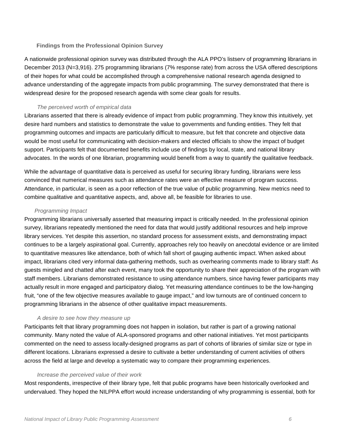#### **Findings from the Professional Opinion Survey**

A nationwide professional opinion survey was distributed through the ALA PPO's listserv of programming librarians in December 2013 (N=3,916). 275 programming librarians (7% response rate) from across the USA offered descriptions of their hopes for what could be accomplished through a comprehensive national research agenda designed to advance understanding of the aggregate impacts from public programming. The survey demonstrated that there is widespread desire for the proposed research agenda with some clear goals for results.

#### The perceived worth of empirical data

Librarians asserted that there is already evidence of impact from public programming. They know this intuitively, yet desire hard numbers and statistics to demonstrate the value to governments and funding entities. They felt that programming outcomes and impacts are particularly difficult to measure, but felt that concrete and objective data would be most useful for communicating with decision-makers and elected officials to show the impact of budget support. Participants felt that documented benefits include use of findings by local, state, and national library advocates. In the words of one librarian, programming would benefit from a way to quantify the qualitative feedback.

While the advantage of quantitative data is perceived as useful for securing library funding, librarians were less convinced that numerical measures such as attendance rates were an effective measure of program success. Attendance, in particular, is seen as a poor reflection of the true value of public programming. New metrics need to combine qualitative and quantitative aspects, and, above all, be feasible for libraries to use.

#### Programming Impact

Programming librarians universally asserted that measuring impact is critically needed. In the professional opinion survey, librarians repeatedly mentioned the need for data that would justify additional resources and help improve library services. Yet despite this assertion, no standard process for assessment exists, and demonstrating impact continues to be a largely aspirational goal. Currently, approaches rely too heavily on anecdotal evidence or are limited to quantitative measures like attendance, both of which fall short of gauging authentic impact. When asked about impact, librarians cited very informal data-gathering methods, such as overhearing comments made to library staff: As guests mingled and chatted after each event, many took the opportunity to share their appreciation of the program with staff members. Librarians demonstrated resistance to using attendance numbers, since having fewer participants may actually result in more engaged and participatory dialog. Yet measuring attendance continues to be the low-hanging fruit, "one of the few objective measures available to gauge impact," and low turnouts are of continued concern to programming librarians in the absence of other qualitative impact measurements.

#### A desire to see how they measure up

Participants felt that library programming does not happen in isolation, but rather is part of a growing national community. Many noted the value of ALA-sponsored programs and other national initiatives. Yet most participants commented on the need to assess locally-designed programs as part of cohorts of libraries of similar size or type in different locations. Librarians expressed a desire to cultivate a better understanding of current activities of others across the field at large and develop a systematic way to compare their programming experiences.

#### Increase the perceived value of their work

Most respondents, irrespective of their library type, felt that public programs have been historically overlooked and undervalued. They hoped the NILPPA effort would increase understanding of why programming is essential, both for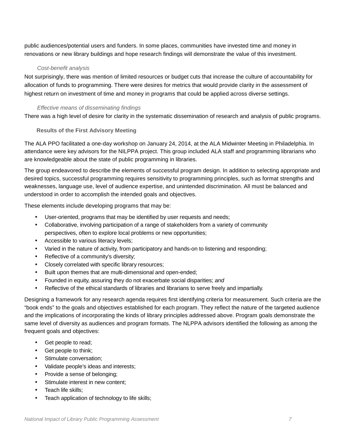public audiences/potential users and funders. In some places, communities have invested time and money in renovations or new library buildings and hope research findings will demonstrate the value of this investment.

#### Cost-benefit analysis

Not surprisingly, there was mention of limited resources or budget cuts that increase the culture of accountability for allocation of funds to programming. There were desires for metrics that would provide clarity in the assessment of highest return on investment of time and money in programs that could be applied across diverse settings.

#### Effective means of disseminating findings

There was a high level of desire for clarity in the systematic dissemination of research and analysis of public programs.

#### **Results of the First Advisory Meeting**

The ALA PPO facilitated a one-day workshop on January 24, 2014, at the ALA Midwinter Meeting in Philadelphia. In attendance were key advisors for the NILPPA project. This group included ALA staff and programming librarians who are knowledgeable about the state of public programming in libraries.

The group endeavored to describe the elements of successful program design. In addition to selecting appropriate and desired topics, successful programming requires sensitivity to programming principles, such as format strengths and weaknesses, language use, level of audience expertise, and unintended discrimination. All must be balanced and understood in order to accomplish the intended goals and objectives.

These elements include developing programs that may be:

- User-oriented, programs that may be identified by user requests and needs;
- Collaborative, involving participation of a range of stakeholders from a variety of community perspectives, often to explore local problems or new opportunities;
- Accessible to various literacy levels;
- Varied in the nature of activity, from participatory and hands-on to listening and responding;
- Reflective of a community's diversity;
- Closely correlated with specific library resources;
- Built upon themes that are multi-dimensional and open-ended;
- Founded in equity, assuring they do not exacerbate social disparities; and
- Reflective of the ethical standards of libraries and librarians to serve freely and impartially.

Designing a framework for any research agenda requires first identifying criteria for measurement. Such criteria are the "book ends" to the goals and objectives established for each program. They reflect the nature of the targeted audience and the implications of incorporating the kinds of library principles addressed above. Program goals demonstrate the same level of diversity as audiences and program formats. The NLPPA advisors identified the following as among the frequent goals and objectives:

- Get people to read;
- Get people to think;
- Stimulate conversation;
- Validate people's ideas and interests;
- Provide a sense of belonging;
- Stimulate interest in new content;
- Teach life skills;
- Teach application of technology to life skills;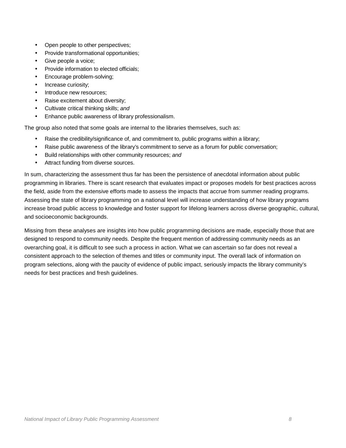- Open people to other perspectives;
- Provide transformational opportunities;
- Give people a voice;
- Provide information to elected officials;
- Encourage problem-solving;
- Increase curiosity;
- Introduce new resources:
- Raise excitement about diversity;
- Cultivate critical thinking skills; and
- Enhance public awareness of library professionalism.

The group also noted that some goals are internal to the libraries themselves, such as:

- Raise the credibility/significance of, and commitment to, public programs within a library;
- Raise public awareness of the library's commitment to serve as a forum for public conversation;
- Build relationships with other community resources; and
- Attract funding from diverse sources.

In sum, characterizing the assessment thus far has been the persistence of anecdotal information about public programming in libraries. There is scant research that evaluates impact or proposes models for best practices across the field, aside from the extensive efforts made to assess the impacts that accrue from summer reading programs. Assessing the state of library programming on a national level will increase understanding of how library programs increase broad public access to knowledge and foster support for lifelong learners across diverse geographic, cultural, and socioeconomic backgrounds.

Missing from these analyses are insights into how public programming decisions are made, especially those that are designed to respond to community needs. Despite the frequent mention of addressing community needs as an overarching goal, it is difficult to see such a process in action. What we can ascertain so far does not reveal a consistent approach to the selection of themes and titles or community input. The overall lack of information on program selections, along with the paucity of evidence of public impact, seriously impacts the library community's needs for best practices and fresh guidelines.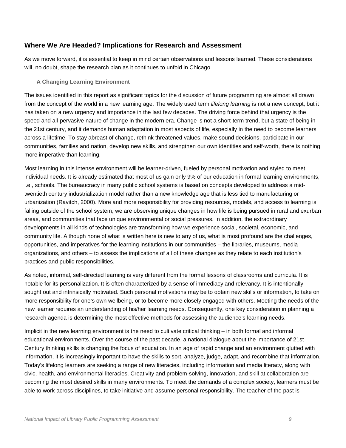#### **Where We Are Headed? Implications for Research and Assessment**

As we move forward, it is essential to keep in mind certain observations and lessons learned. These considerations will, no doubt, shape the research plan as it continues to unfold in Chicago.

#### **A Changing Learning Environment**

The issues identified in this report as significant topics for the discussion of future programming are almost all drawn from the concept of the world in a new learning age. The widely used term *lifelong learning* is not a new concept, but it has taken on a new urgency and importance in the last few decades. The driving force behind that urgency is the speed and all-pervasive nature of change in the modern era. Change is not a short-term trend, but a state of being in the 21st century, and it demands human adaptation in most aspects of life, especially in the need to become learners across a lifetime. To stay abreast of change, rethink threatened values, make sound decisions, participate in our communities, families and nation, develop new skills, and strengthen our own identities and self-worth, there is nothing more imperative than learning.

Most learning in this intense environment will be learner-driven, fueled by personal motivation and styled to meet individual needs. It is already estimated that most of us gain only 9% of our education in formal learning environments, i.e., schools. The bureaucracy in many public school systems is based on concepts developed to address a midtwentieth century industrialization model rather than a new knowledge age that is less tied to manufacturing or urbanization (Ravitch, 2000). More and more responsibility for providing resources, models, and access to learning is falling outside of the school system; we are observing unique changes in how life is being pursued in rural and exurban areas, and communities that face unique environmental or social pressures. In addition, the extraordinary developments in all kinds of technologies are transforming how we experience social, societal, economic, and community life. Although none of what is written here is new to any of us, what is most profound are the challenges, opportunities, and imperatives for the learning institutions in our communities – the libraries, museums, media organizations, and others – to assess the implications of all of these changes as they relate to each institution's practices and public responsibilities.

As noted, informal, self-directed learning is very different from the formal lessons of classrooms and curricula. It is notable for its personalization. It is often characterized by a sense of immediacy and relevancy. It is intentionally sought out and intrinsically motivated. Such personal motivations may be to obtain new skills or information, to take on more responsibility for one's own wellbeing, or to become more closely engaged with others. Meeting the needs of the new learner requires an understanding of his/her learning needs. Consequently, one key consideration in planning a research agenda is determining the most effective methods for assessing the audience's learning needs.

Implicit in the new learning environment is the need to cultivate critical thinking – in both formal and informal educational environments. Over the course of the past decade, a national dialogue about the importance of 21st Century thinking skills is changing the focus of education. In an age of rapid change and an environment glutted with information, it is increasingly important to have the skills to sort, analyze, judge, adapt, and recombine that information. Today's lifelong learners are seeking a range of new literacies, including information and media literacy, along with civic, health, and environmental literacies. Creativity and problem-solving, innovation, and skill at collaboration are becoming the most desired skills in many environments. To meet the demands of a complex society, learners must be able to work across disciplines, to take initiative and assume personal responsibility. The teacher of the past is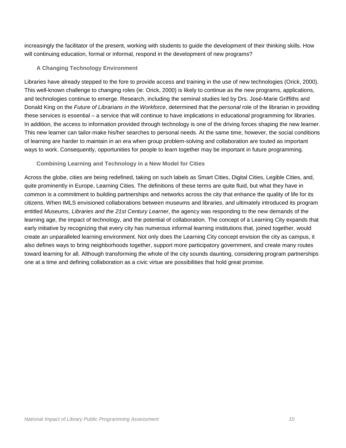increasingly the facilitator of the present, working with students to guide the development of their thinking skills. How will continuing education, formal or informal, respond in the development of new programs?

#### **A Changing Technology Environment**

Libraries have already stepped to the fore to provide access and training in the use of new technologies (Orick, 2000). This well-known challenge to changing roles (ie: Orick, 2000) is likely to continue as the new programs, applications, and technologies continue to emerge. Research, including the seminal studies led by Drs. José-Marie Griffiths and Donald King on the Future of Librarians in the Workforce, determined that the personal role of the librarian in providing these services is essential – a service that will continue to have implications in educational programming for libraries. In addition, the access to information provided through technology is one of the driving forces shaping the new learner. This new learner can tailor-make his/her searches to personal needs. At the same time, however, the social conditions of learning are harder to maintain in an era when group problem-solving and collaboration are touted as important ways to work. Consequently, opportunities for people to learn together may be important in future programming.

#### **Combining Learning and Technology in a New Model for Cities**

Across the globe, cities are being redefined, taking on such labels as Smart Cities, Digital Cities, Legible Cities, and, quite prominently in Europe, Learning Cities. The definitions of these terms are quite fluid, but what they have in common is a commitment to building partnerships and networks across the city that enhance the quality of life for its citizens. When IMLS envisioned collaborations between museums and libraries, and ultimately introduced its program entitled Museums, Libraries and the 21st Century Learner, the agency was responding to the new demands of the learning age, the impact of technology, and the potential of collaboration. The concept of a Learning City expands that early initiative by recognizing that every city has numerous informal learning institutions that, joined together, would create an unparalleled learning environment. Not only does the Learning City concept envision the city as campus, it also defines ways to bring neighborhoods together, support more participatory government, and create many routes toward learning for all. Although transforming the whole of the city sounds daunting, considering program partnerships one at a time and defining collaboration as a civic virtue are possibilities that hold great promise.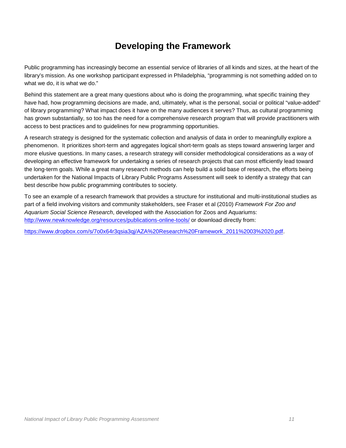## **Developing the Framework**

Public programming has increasingly become an essential service of libraries of all kinds and sizes, at the heart of the library's mission. As one workshop participant expressed in Philadelphia, "programming is not something added on to what we do, it is what we do."

Behind this statement are a great many questions about who is doing the programming, what specific training they have had, how programming decisions are made, and, ultimately, what is the personal, social or political "value-added" of library programming? What impact does it have on the many audiences it serves? Thus, as cultural programming has grown substantially, so too has the need for a comprehensive research program that will provide practitioners with access to best practices and to guidelines for new programming opportunities.

A research strategy is designed for the systematic collection and analysis of data in order to meaningfully explore a phenomenon. It prioritizes short-term and aggregates logical short-term goals as steps toward answering larger and more elusive questions. In many cases, a research strategy will consider methodological considerations as a way of developing an effective framework for undertaking a series of research projects that can most efficiently lead toward the long-term goals. While a great many research methods can help build a solid base of research, the efforts being undertaken for the National Impacts of Library Public Programs Assessment will seek to identify a strategy that can best describe how public programming contributes to society.

To see an example of a research framework that provides a structure for institutional and multi-institutional studies as part of a field involving visitors and community stakeholders, see Fraser et al (2010) Framework For Zoo and Aquarium Social Science Research, developed with the Association for Zoos and Aquariums: http://www.newknowledge.org/resources/publications-online-tools/ or download directly from:

https://www.dropbox.com/s/7o0x64r3qsia3qj/AZA%20Research%20Framework\_2011%2003%2020.pdf.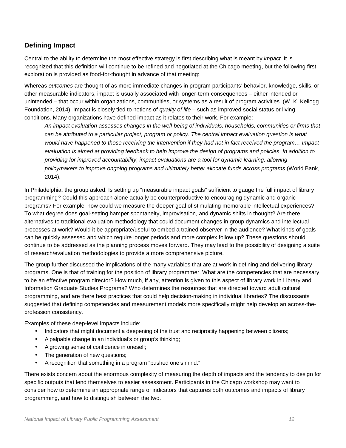#### **Defining Impact**

Central to the ability to determine the most effective strategy is first describing what is meant by *impact*. It is recognized that this definition will continue to be refined and negotiated at the Chicago meeting, but the following first exploration is provided as food-for-thought in advance of that meeting:

Whereas outcomes are thought of as more immediate changes in program participants' behavior, knowledge, skills, or other measurable indicators, impact is usually associated with longer-term consequences – either intended or unintended – that occur within organizations, communities, or systems as a result of program activities. (W. K. Kellogg Foundation, 2014). Impact is closely tied to notions of *quality of life* – such as improved social status or living conditions. Many organizations have defined impact as it relates to their work. For example:

An impact evaluation assesses changes in the well-being of individuals, households, communities or firms that can be attributed to a particular project, program or policy. The central impact evaluation question is what would have happened to those receiving the intervention if they had not in fact received the program… Impact evaluation is aimed at providing feedback to help improve the design of programs and policies. In addition to providing for improved accountability, impact evaluations are a tool for dynamic learning, allowing policymakers to improve ongoing programs and ultimately better allocate funds across programs (World Bank, 2014).

In Philadelphia, the group asked: Is setting up "measurable impact goals" sufficient to gauge the full impact of library programming? Could this approach alone actually be counterproductive to encouraging dynamic and organic programs? For example, how could we measure the deeper goal of stimulating memorable intellectual experiences? To what degree does goal-setting hamper spontaneity, improvisation, and dynamic shifts in thought? Are there alternatives to traditional evaluation methodology that could document changes in group dynamics and intellectual processes at work? Would it be appropriate/useful to embed a trained observer in the audience? What kinds of goals can be quickly assessed and which require longer periods and more complex follow up? These questions should continue to be addressed as the planning process moves forward. They may lead to the possibility of designing a suite of research/evaluation methodologies to provide a more comprehensive picture.

The group further discussed the implications of the many variables that are at work in defining and delivering library programs. One is that of training for the position of library programmer. What are the competencies that are necessary to be an effective program director? How much, if any, attention is given to this aspect of library work in Library and Information Graduate Studies Programs? Who determines the resources that are directed toward adult cultural programming, and are there best practices that could help decision-making in individual libraries? The discussants suggested that defining competencies and measurement models more specifically might help develop an across-theprofession consistency.

Examples of these deep-level impacts include:

- Indicators that might document a deepening of the trust and reciprocity happening between citizens;
- A palpable change in an individual's or group's thinking;
- A growing sense of confidence in oneself;
- The generation of new questions;
- A recognition that something in a program "pushed one's mind."

There exists concern about the enormous complexity of measuring the depth of impacts and the tendency to design for specific outputs that lend themselves to easier assessment. Participants in the Chicago workshop may want to consider how to determine an appropriate range of indicators that captures both outcomes and impacts of library programming, and how to distinguish between the two.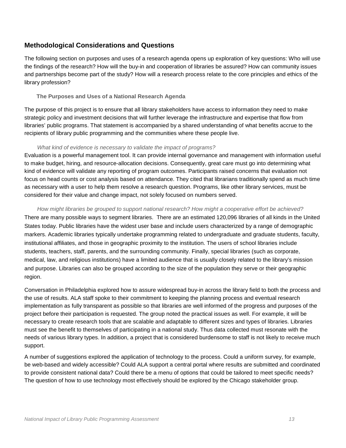#### **Methodological Considerations and Questions**

The following section on purposes and uses of a research agenda opens up exploration of key questions: Who will use the findings of the research? How will the buy-in and cooperation of libraries be assured? How can community issues and partnerships become part of the study? How will a research process relate to the core principles and ethics of the library profession?

#### **The Purposes and Uses of a National Research Agenda**

The purpose of this project is to ensure that all library stakeholders have access to information they need to make strategic policy and investment decisions that will further leverage the infrastructure and expertise that flow from libraries' public programs. That statement is accompanied by a shared understanding of what benefits accrue to the recipients of library public programming and the communities where these people live.

#### What kind of evidence is necessary to validate the impact of programs?

Evaluation is a powerful management tool. It can provide internal governance and management with information useful to make budget, hiring, and resource-allocation decisions. Consequently, great care must go into determining what kind of evidence will validate any reporting of program outcomes. Participants raised concerns that evaluation not focus on head counts or cost analysis based on attendance. They cited that librarians traditionally spend as much time as necessary with a user to help them resolve a research question. Programs, like other library services, must be considered for their value and change impact, not solely focused on numbers served.

#### How might libraries be grouped to support national research? How might a cooperative effort be achieved?

There are many possible ways to segment libraries. There are an estimated 120,096 libraries of all kinds in the United States today. Public libraries have the widest user base and include users characterized by a range of demographic markers. Academic libraries typically undertake programming related to undergraduate and graduate students, faculty, institutional affiliates, and those in geographic proximity to the institution. The users of school libraries include students, teachers, staff, parents, and the surrounding community. Finally, special libraries (such as corporate, medical, law, and religious institutions) have a limited audience that is usually closely related to the library's mission and purpose. Libraries can also be grouped according to the size of the population they serve or their geographic region.

Conversation in Philadelphia explored how to assure widespread buy-in across the library field to both the process and the use of results. ALA staff spoke to their commitment to keeping the planning process and eventual research implementation as fully transparent as possible so that libraries are well informed of the progress and purposes of the project before their participation is requested. The group noted the practical issues as well. For example, it will be necessary to create research tools that are scalable and adaptable to different sizes and types of libraries. Libraries must see the benefit to themselves of participating in a national study. Thus data collected must resonate with the needs of various library types. In addition, a project that is considered burdensome to staff is not likely to receive much support.

A number of suggestions explored the application of technology to the process. Could a uniform survey, for example, be web-based and widely accessible? Could ALA support a central portal where results are submitted and coordinated to provide consistent national data? Could there be a menu of options that could be tailored to meet specific needs? The question of how to use technology most effectively should be explored by the Chicago stakeholder group.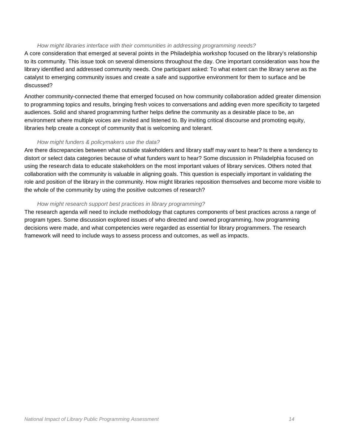#### How might libraries interface with their communities in addressing programming needs?

A core consideration that emerged at several points in the Philadelphia workshop focused on the library's relationship to its community. This issue took on several dimensions throughout the day. One important consideration was how the library identified and addressed community needs. One participant asked: To what extent can the library serve as the catalyst to emerging community issues and create a safe and supportive environment for them to surface and be discussed?

Another community-connected theme that emerged focused on how community collaboration added greater dimension to programming topics and results, bringing fresh voices to conversations and adding even more specificity to targeted audiences. Solid and shared programming further helps define the community as a desirable place to be, an environment where multiple voices are invited and listened to. By inviting critical discourse and promoting equity, libraries help create a concept of community that is welcoming and tolerant.

#### How might funders & policymakers use the data?

Are there discrepancies between what outside stakeholders and library staff may want to hear? Is there a tendency to distort or select data categories because of what funders want to hear? Some discussion in Philadelphia focused on using the research data to educate stakeholders on the most important values of library services. Others noted that collaboration with the community is valuable in aligning goals. This question is especially important in validating the role and position of the library in the community. How might libraries reposition themselves and become more visible to the whole of the community by using the positive outcomes of research?

#### How might research support best practices in library programming?

The research agenda will need to include methodology that captures components of best practices across a range of program types. Some discussion explored issues of who directed and owned programming, how programming decisions were made, and what competencies were regarded as essential for library programmers. The research framework will need to include ways to assess process and outcomes, as well as impacts.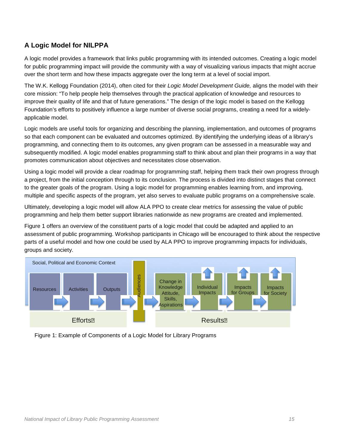#### **A Logic Model for NILPPA**

A logic model provides a framework that links public programming with its intended outcomes. Creating a logic model for public programming impact will provide the community with a way of visualizing various impacts that might accrue over the short term and how these impacts aggregate over the long term at a level of social import.

The W.K. Kellogg Foundation (2014), often cited for their Logic Model Development Guide, aligns the model with their core mission: "To help people help themselves through the practical application of knowledge and resources to improve their quality of life and that of future generations." The design of the logic model is based on the Kellogg Foundation's efforts to positively influence a large number of diverse social programs, creating a need for a widelyapplicable model.

Logic models are useful tools for organizing and describing the planning, implementation, and outcomes of programs so that each component can be evaluated and outcomes optimized. By identifying the underlying ideas of a library's programming, and connecting them to its outcomes, any given program can be assessed in a measurable way and subsequently modified. A logic model enables programming staff to think about and plan their programs in a way that promotes communication about objectives and necessitates close observation.

Using a logic model will provide a clear roadmap for programming staff, helping them track their own progress through a project, from the initial conception through to its conclusion. The process is divided into distinct stages that connect to the greater goals of the program. Using a logic model for programming enables learning from, and improving, multiple and specific aspects of the program, yet also serves to evaluate public programs on a comprehensive scale.

Ultimately, developing a logic model will allow ALA PPO to create clear metrics for assessing the value of public programming and help them better support libraries nationwide as new programs are created and implemented.

Figure 1 offers an overview of the constituent parts of a logic model that could be adapted and applied to an assessment of public programming. Workshop participants in Chicago will be encouraged to think about the respective parts of a useful model and how one could be used by ALA PPO to improve programming impacts for individuals, groups and society.



Figure 1: Example of Components of a Logic Model for Library Programs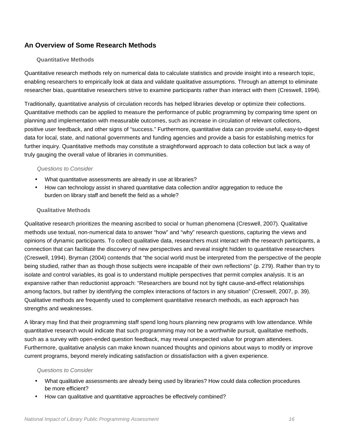#### **An Overview of Some Research Methods**

#### **Quantitative Methods**

Quantitative research methods rely on numerical data to calculate statistics and provide insight into a research topic, enabling researchers to empirically look at data and validate qualitative assumptions. Through an attempt to eliminate researcher bias, quantitative researchers strive to examine participants rather than interact with them (Creswell, 1994).

Traditionally, quantitative analysis of circulation records has helped libraries develop or optimize their collections. Quantitative methods can be applied to measure the performance of public programming by comparing time spent on planning and implementation with measurable outcomes, such as increase in circulation of relevant collections, positive user feedback, and other signs of "success." Furthermore, quantitative data can provide useful, easy-to-digest data for local, state, and national governments and funding agencies and provide a basis for establishing metrics for further inquiry. Quantitative methods may constitute a straightforward approach to data collection but lack a way of truly gauging the overall value of libraries in communities.

#### Questions to Consider

- What quantitative assessments are already in use at libraries?
- How can technology assist in shared quantitative data collection and/or aggregation to reduce the burden on library staff and benefit the field as a whole?

#### **Qualitative Methods**

Qualitative research prioritizes the meaning ascribed to social or human phenomena (Creswell, 2007). Qualitative methods use textual, non-numerical data to answer "how" and "why" research questions, capturing the views and opinions of dynamic participants. To collect qualitative data, researchers must interact with the research participants, a connection that can facilitate the discovery of new perspectives and reveal insight hidden to quantitative researchers (Creswell, 1994). Bryman (2004) contends that "the social world must be interpreted from the perspective of the people being studied, rather than as though those subjects were incapable of their own reflections" (p. 279). Rather than try to isolate and control variables, its goal is to understand multiple perspectives that permit complex analysis. It is an expansive rather than reductionist approach: "Researchers are bound not by tight cause-and-effect relationships among factors, but rather by identifying the complex interactions of factors in any situation" (Creswell, 2007, p. 39). Qualitative methods are frequently used to complement quantitative research methods, as each approach has strengths and weaknesses.

A library may find that their programming staff spend long hours planning new programs with low attendance. While quantitative research would indicate that such programming may not be a worthwhile pursuit, qualitative methods, such as a survey with open-ended question feedback, may reveal unexpected value for program attendees. Furthermore, qualitative analysis can make known nuanced thoughts and opinions about ways to modify or improve current programs, beyond merely indicating satisfaction or dissatisfaction with a given experience.

#### Questions to Consider

- What qualitative assessments are already being used by libraries? How could data collection procedures be more efficient?
- How can qualitative and quantitative approaches be effectively combined?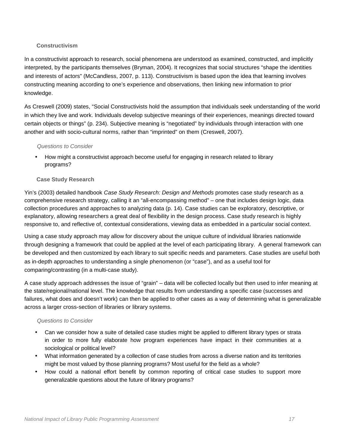#### **Constructivism**

In a constructivist approach to research, social phenomena are understood as examined, constructed, and implicitly interpreted, by the participants themselves (Bryman, 2004). It recognizes that social structures "shape the identities and interests of actors" (McCandless, 2007, p. 113). Constructivism is based upon the idea that learning involves constructing meaning according to one's experience and observations, then linking new information to prior knowledge.

As Creswell (2009) states, "Social Constructivists hold the assumption that individuals seek understanding of the world in which they live and work. Individuals develop subjective meanings of their experiences, meanings directed toward certain objects or things" (p. 234). Subjective meaning is "negotiated" by individuals through interaction with one another and with socio-cultural norms, rather than "imprinted" on them (Creswell, 2007).

#### Questions to Consider

• How might a constructivist approach become useful for engaging in research related to library programs?

#### **Case Study Research**

Yin's (2003) detailed handbook Case Study Research: Design and Methods promotes case study research as a comprehensive research strategy, calling it an "all-encompassing method" – one that includes design logic, data collection procedures and approaches to analyzing data (p. 14). Case studies can be exploratory, descriptive, or explanatory, allowing researchers a great deal of flexibility in the design process. Case study research is highly responsive to, and reflective of, contextual considerations, viewing data as embedded in a particular social context.

Using a case study approach may allow for discovery about the unique culture of individual libraries nationwide through designing a framework that could be applied at the level of each participating library. A general framework can be developed and then customized by each library to suit specific needs and parameters. Case studies are useful both as in-depth approaches to understanding a single phenomenon (or "case"), and as a useful tool for comparing/contrasting (in a multi-case study).

A case study approach addresses the issue of "grain" – data will be collected locally but then used to infer meaning at the state/regional/national level. The knowledge that results from understanding a specific case (successes and failures, what does and doesn't work) can then be applied to other cases as a way of determining what is generalizable across a larger cross-section of libraries or library systems.

#### Questions to Consider

- Can we consider how a suite of detailed case studies might be applied to different library types or strata in order to more fully elaborate how program experiences have impact in their communities at a sociological or political level?
- What information generated by a collection of case studies from across a diverse nation and its territories might be most valued by those planning programs? Most useful for the field as a whole?
- How could a national effort benefit by common reporting of critical case studies to support more generalizable questions about the future of library programs?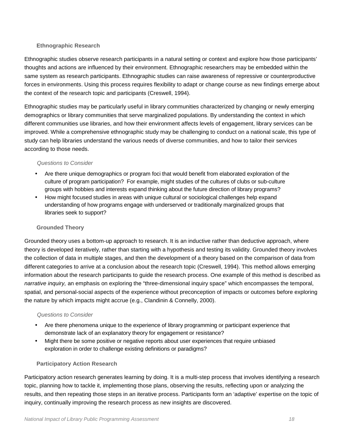#### **Ethnographic Research**

Ethnographic studies observe research participants in a natural setting or context and explore how those participants' thoughts and actions are influenced by their environment. Ethnographic researchers may be embedded within the same system as research participants. Ethnographic studies can raise awareness of repressive or counterproductive forces in environments. Using this process requires flexibility to adapt or change course as new findings emerge about the context of the research topic and participants (Creswell, 1994).

Ethnographic studies may be particularly useful in library communities characterized by changing or newly emerging demographics or library communities that serve marginalized populations. By understanding the context in which different communities use libraries, and how their environment affects levels of engagement, library services can be improved. While a comprehensive ethnographic study may be challenging to conduct on a national scale, this type of study can help libraries understand the various needs of diverse communities, and how to tailor their services according to those needs.

#### Questions to Consider

- Are there unique demographics or program foci that would benefit from elaborated exploration of the culture of program participation? For example, might studies of the cultures of clubs or sub-culture groups with hobbies and interests expand thinking about the future direction of library programs?
- How might focused studies in areas with unique cultural or sociological challenges help expand understanding of how programs engage with underserved or traditionally marginalized groups that libraries seek to support?

#### **Grounded Theory**

Grounded theory uses a bottom-up approach to research. It is an inductive rather than deductive approach, where theory is developed iteratively, rather than starting with a hypothesis and testing its validity. Grounded theory involves the collection of data in multiple stages, and then the development of a theory based on the comparison of data from different categories to arrive at a conclusion about the research topic (Creswell, 1994). This method allows emerging information about the research participants to guide the research process. One example of this method is described as narrative inquiry, an emphasis on exploring the "three-dimensional inquiry space" which encompasses the temporal, spatial, and personal-social aspects of the experience without preconception of impacts or outcomes before exploring the nature by which impacts might accrue (e.g., Clandinin & Connelly, 2000).

#### Questions to Consider

- Are there phenomena unique to the experience of library programming or participant experience that demonstrate lack of an explanatory theory for engagement or resistance?
- Might there be some positive or negative reports about user experiences that require unbiased exploration in order to challenge existing definitions or paradigms?

#### **Participatory Action Research**

Participatory action research generates learning by doing. It is a multi-step process that involves identifying a research topic, planning how to tackle it, implementing those plans, observing the results, reflecting upon or analyzing the results, and then repeating those steps in an iterative process. Participants form an 'adaptive' expertise on the topic of inquiry, continually improving the research process as new insights are discovered.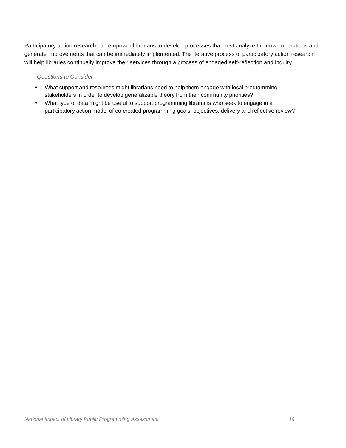Participatory action research can empower librarians to develop processes that best analyze their own operations and generate improvements that can be immediately implemented. The iterative process of participatory action research will help libraries continually improve their services through a process of engaged self-reflection and inquiry.

#### Questions to Consider

- What support and resources might librarians need to help them engage with local programming stakeholders in order to develop generalizable theory from their community priorities?
- What type of data might be useful to support programming librarians who seek to engage in a participatory action model of co-created programming goals, objectives, delivery and reflective review?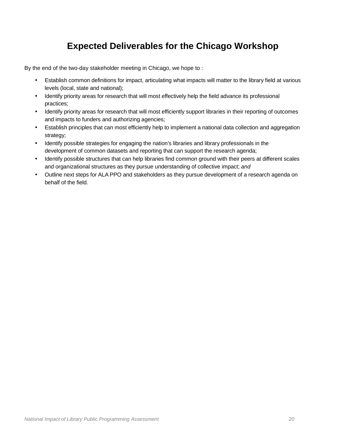## **Expected Deliverables for the Chicago Workshop**

By the end of the two-day stakeholder meeting in Chicago, we hope to :

- Establish common definitions for impact, articulating what impacts will matter to the library field at various levels (local, state and national);
- Identify priority areas for research that will most effectively help the field advance its professional practices;
- Identify priority areas for research that will most efficiently support libraries in their reporting of outcomes and impacts to funders and authorizing agencies;
- Establish principles that can most efficiently help to implement a national data collection and aggregation strategy;
- Identify possible strategies for engaging the nation's libraries and library professionals in the development of common datasets and reporting that can support the research agenda;
- Identify possible structures that can help libraries find common ground with their peers at different scales and organizational structures as they pursue understanding of collective impact; and
- Outline next steps for ALA PPO and stakeholders as they pursue development of a research agenda on behalf of the field.